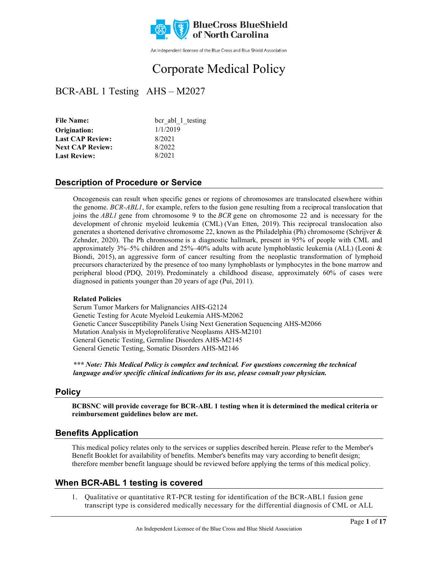

An independent licensee of the Blue Cross and Blue Shield Association

# Corporate Medical Policy

# BCR-ABL 1 Testing AHS – M2027

| <b>File Name:</b>       | bcr abl 1 testing |  |
|-------------------------|-------------------|--|
| Origination:            | 1/1/2019          |  |
| <b>Last CAP Review:</b> | 8/2021            |  |
| <b>Next CAP Review:</b> | 8/2022            |  |
| <b>Last Review:</b>     | 8/2021            |  |
|                         |                   |  |

### **Description of Procedure or Service**

Oncogenesis can result when specific genes or regions of chromosomes are translocated elsewhere within the genome. *BCR-ABL1*, for example, refers to the fusion gene resulting from a reciprocal translocation that joins the *ABL1* gene from chromosome 9 to the *BCR* gene on chromosome 22 and is necessary for the development of chronic myeloid leukemia (CML) (Van Etten, 2019). This reciprocal translocation also generates a shortened derivative chromosome 22, known as the Philadelphia (Ph) chromosome (Schrijver & Zehnder, 2020). The Ph chromosome is a diagnostic hallmark, present in 95% of people with CML and approximately 3%–5% children and 25%–40% adults with acute lymphoblastic leukemia (ALL) (Leoni & Biondi, 2015), an aggressive form of cancer resulting from the neoplastic transformation of lymphoid precursors characterized by the presence of too many lymphoblasts or lymphocytes in the bone marrow and peripheral blood (PDQ, 2019). Predominately a childhood disease, approximately 60% of cases were diagnosed in patients younger than 20 years of age (Pui, 2011).

#### **Related Policies**

Serum Tumor Markers for Malignancies AHS-G2124 Genetic Testing for Acute Myeloid Leukemia AHS-M2062 Genetic Cancer Susceptibility Panels Using Next Generation Sequencing AHS-M2066 Mutation Analysis in Myeloproliferative Neoplasms AHS-M2101 General Genetic Testing, Germline Disorders AHS-M2145 General Genetic Testing, Somatic Disorders AHS-M2146

*\*\*\* Note: This Medical Policy is complex and technical. For questions concerning the technical language and/or specific clinical indications for its use, please consult your physician.*

### **Policy**

**BCBSNC will provide coverage for BCR-ABL 1 testing when it is determined the medical criteria or reimbursement guidelines below are met.**

### **Benefits Application**

This medical policy relates only to the services or supplies described herein. Please refer to the Member's Benefit Booklet for availability of benefits. Member's benefits may vary according to benefit design; therefore member benefit language should be reviewed before applying the terms of this medical policy.

### **When BCR-ABL 1 testing is covered**

1. Qualitative or quantitative RT-PCR testing for identification of the BCR-ABL1 fusion gene transcript type is considered medically necessary for the differential diagnosis of CML or ALL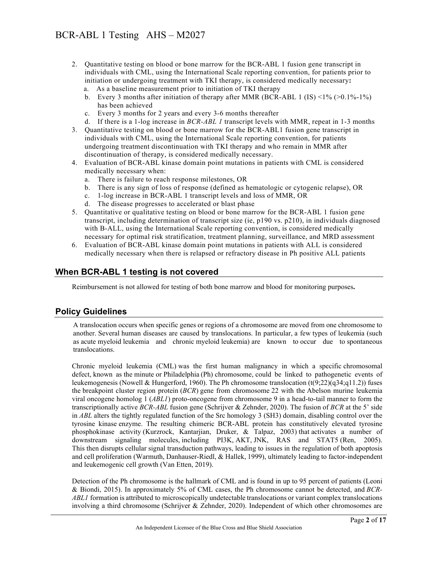- 2. Quantitative testing on blood or bone marrow for the BCR-ABL 1 fusion gene transcript in individuals with CML, using the International Scale reporting convention, for patients prior to initiation or undergoing treatment with TKI therapy, is considered medically necessary**:** 
	- a. As a baseline measurement prior to initiation of TKI therapy
	- b. Every 3 months after initiation of therapy after MMR (BCR-ABL 1 (IS)  $\langle 1\% \rangle \langle 20.1\% \rangle$ has been achieved
	- c. Every 3 months for 2 years and every 3-6 months thereafter
	- d. If there is a 1-log increase in *BCR-ABL 1* transcript levels with MMR, repeat in 1-3 months
- 3. Quantitative testing on blood or bone marrow for the BCR-ABL1 fusion gene transcript in individuals with CML, using the International Scale reporting convention, for patients undergoing treatment discontinuation with TKI therapy and who remain in MMR after discontinuation of therapy, is considered medically necessary.
- 4. Evaluation of BCR-ABL kinase domain point mutations in patients with CML is considered medically necessary when:
	- a. There is failure to reach response milestones, OR
	- b. There is any sign of loss of response (defined as hematologic or cytogenic relapse), OR
	- c. 1-log increase in BCR-ABL 1 transcript levels and loss of MMR, OR
	- d. The disease progresses to accelerated or blast phase
- 5. Quantitative or qualitative testing on blood or bone marrow for the BCR-ABL 1 fusion gene transcript, including determination of transcript size (ie, p190 vs. p210), in individuals diagnosed with B-ALL, using the International Scale reporting convention, is considered medically necessary for optimal risk stratification, treatment planning, surveillance, and MRD assessment
- 6. Evaluation of BCR-ABL kinase domain point mutations in patients with ALL is considered medically necessary when there is relapsed or refractory disease in Ph positive ALL patients

### **When BCR-ABL 1 testing is not covered**

Reimbursement is not allowed for testing of both bone marrow and blood for monitoring purposes**.**

### **Policy Guidelines**

A translocation occurs when specific genes or regions of a chromosome are moved from one chromosome to another. Several human diseases are caused by translocations. In particular, a few types of leukemia (such as acute myeloid leukemia and chronic myeloid leukemia) are known to occur due to spontaneous translocations.

Chronic myeloid leukemia (CML) was the first human malignancy in which a specific chromosomal defect, known as the minute or Philadelphia (Ph) chromosome, could be linked to pathogenetic events of leukemogenesis (Nowell & Hungerford, 1960). The Ph chromosome translocation (t(9;22)(q34;q11.2)) fuses the breakpoint cluster region protein (*BCR*) gene from chromosome 22 with the Abelson murine leukemia viral oncogene homolog 1 (*ABL1*) proto-oncogene from chromosome 9 in a head-to-tail manner to form the transcriptionally active *BCR-ABL* fusion gene (Schrijver & Zehnder, 2020). The fusion of *BCR* at the 5' side in *ABL* alters the tightly regulated function of the Src homology 3 (SH3) domain, disabling control over the tyrosine kinase enzyme. The resulting chimeric BCR-ABL protein has constitutively elevated tyrosine phosphokinase activity (Kurzrock, Kantarjian, Druker, & Talpaz, 2003) that activates a number of downstream signaling molecules, including PI3K, AKT, JNK, RAS and STAT5 (Ren, 2005). This then disrupts cellular signal transduction pathways, leading to issues in the regulation of both apoptosis and cell proliferation (Warmuth, Danhauser-Riedl, & Hallek, 1999), ultimately leading to factor-independent and leukemogenic cell growth (Van Etten, 2019).

Detection of the Ph chromosome is the hallmark of CML and is found in up to 95 percent of patients (Leoni & Biondi, 2015). In approximately 5% of CML cases, the Ph chromosome cannot be detected, and *BCR-ABL1* formation is attributed to microscopically undetectable translocations or variant complex translocations involving a third chromosome (Schrijver & Zehnder, 2020). Independent of which other chromosomes are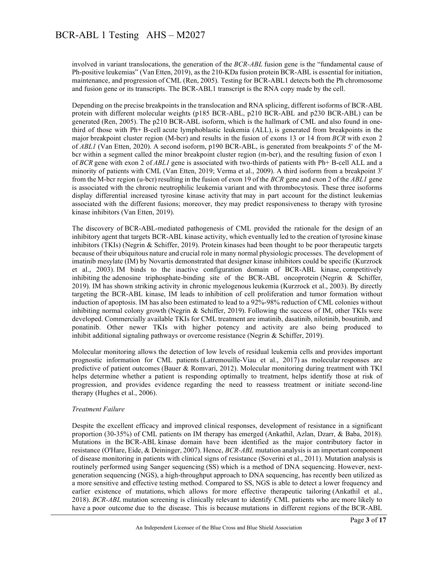involved in variant translocations, the generation of the *BCR-ABL* fusion gene is the "fundamental cause of Ph-positive leukemias" (Van Etten, 2019), as the 210-KDa fusion protein BCR-ABL is essential for initiation, maintenance, and progression of CML (Ren, 2005). Testing for BCR-ABL1 detects both the Ph chromosome and fusion gene or its transcripts. The BCR-ABL1 transcript is the RNA copy made by the cell.

Depending on the precise breakpoints in the translocation and RNA splicing, different isoforms of BCR-ABL protein with different molecular weights (p185 BCR-ABL, p210 BCR-ABL and p230 BCR-ABL) can be generated (Ren, 2005). The p210 BCR-ABL isoform, which is the hallmark of CML and also found in onethird of those with Ph+ B-cell acute lymphoblastic leukemia (ALL), is generated from breakpoints in the major breakpoint cluster region (M-bcr) and results in the fusion of exons 13 or 14 from *BCR* with exon 2 of *ABL1* (Van Etten, 2020). A second isoform, p190 BCR-ABL, is generated from breakpoints 5' of the Mbcr within a segment called the minor breakpoint cluster region (m-bcr), and the resulting fusion of exon 1 of *BCR* gene with exon 2 of *ABL1* gene is associated with two-thirds of patients with Ph+ B-cell ALL and a minority of patients with CML (Van Etten, 2019; Verma et al., 2009). A third isoform from a breakpoint 3' from the M-bcr region (u-bcr) resulting in the fusion of exon 19 of the *BCR* gene and exon 2 of the *ABL1* gene is associated with the chronic neutrophilic leukemia variant and with thrombocytosis. These three isoforms display differential increased tyrosine kinase activity that may in part account for the distinct leukemias associated with the different fusions; moreover, they may predict responsiveness to therapy with tyrosine kinase inhibitors (Van Etten, 2019).

The discovery of BCR-ABL-mediated pathogenesis of CML provided the rationale for the design of an inhibitory agent that targets BCR-ABL kinase activity, which eventually led to the creation of tyrosine kinase inhibitors (TKIs) (Negrin & Schiffer, 2019). Protein kinases had been thought to be poor therapeutic targets because of their ubiquitous nature and crucial role in many normal physiologic processes. The development of imatinib mesylate (IM) by Novartis demonstrated that designer kinase inhibitors could be specific (Kurzrock et al., 2003). IM binds to the inactive configuration domain of BCR-ABL kinase, competitively inhibiting the adenosine triphosphate-binding site of the BCR-ABL oncoprotein (Negrin & Schiffer, 2019). IM has shown striking activity in chronic myelogenous leukemia (Kurzrock et al., 2003). By directly targeting the BCR-ABL kinase, IM leads to inhibition of cell proliferation and tumor formation without induction of apoptosis. IM has also been estimated to lead to a 92%-98% reduction of CML colonies without inhibiting normal colony growth (Negrin & Schiffer, 2019). Following the success of IM, other TKIs were developed. Commercially available TKIs for CML treatment are imatinib, dasatinib, nilotinib, bosutinib, and ponatinib. Other newer TKIs with higher potency and activity are also being produced to inhibit additional signaling pathways or overcome resistance (Negrin & Schiffer, 2019).

Molecular monitoring allows the detection of low levels of residual leukemia cells and provides important prognostic information for CML patients (Latremouille-Viau et al., 2017) as molecular responses are predictive of patient outcomes (Bauer & Romvari, 2012). Molecular monitoring during treatment with TKI helps determine whether a patient is responding optimally to treatment, helps identify those at risk of progression, and provides evidence regarding the need to reassess treatment or initiate second-line therapy (Hughes et al., 2006). 

#### *Treatment Failure*

Despite the excellent efficacy and improved clinical responses, development of resistance in a significant proportion (30-35%) of CML patients on IM therapy has emerged (Ankathil, Azlan, Dzarr, & Baba, 2018). Mutations in the BCR-ABL kinase domain have been identified as the major contributory factor in resistance (O'Hare, Eide, & Deininger, 2007). Hence, *BCR-ABL* mutation analysis is an important component of disease monitoring in patients with clinical signs of resistance (Soverini et al., 2011). Mutation analysis is routinely performed using Sanger sequencing (SS) which is a method of DNA sequencing. However, nextgeneration sequencing (NGS), a high-throughput approach to DNA sequencing, has recently been utilized as a more sensitive and effective testing method. Compared to SS, NGS is able to detect a lower frequency and earlier existence of mutations, which allows for more effective therapeutic tailoring (Ankathil et al., 2018). *BCR-ABL* mutation screening is clinically relevant to identify CML patients who are more likely to have a poor outcome due to the disease. This is because mutations in different regions of the BCR-ABL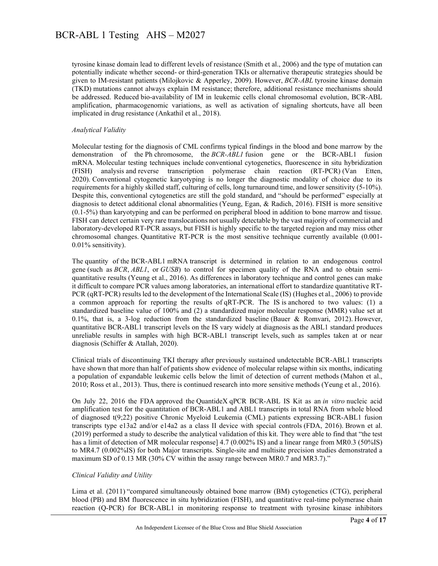tyrosine kinase domain lead to different levels of resistance (Smith et al., 2006) and the type of mutation can potentially indicate whether second- or third-generation TKIs or alternative therapeutic strategies should be given to IM-resistant patients (Milojkovic & Apperley, 2009). However, *BCR-ABL* tyrosine kinase domain (TKD) mutations cannot always explain IM resistance; therefore, additional resistance mechanisms should be addressed. Reduced bio-availability of IM in leukemic cells clonal chromosomal evolution, BCR-ABL amplification, pharmacogenomic variations, as well as activation of signaling shortcuts, have all been implicated in drug resistance (Ankathil et al., 2018).

#### *Analytical Validity*

Molecular testing for the diagnosis of CML confirms typical findings in the blood and bone marrow by the demonstration of the Ph chromosome, the *BCR-ABL1* fusion gene or the BCR-ABL1 fusion mRNA. Molecular testing techniques include conventional cytogenetics, fluorescence in situ hybridization (FISH) analysis and reverse transcription polymerase chain reaction (RT-PCR) (Van Etten, 2020). Conventional cytogenetic karyotyping is no longer the diagnostic modality of choice due to its requirements for a highly skilled staff, culturing of cells, long turnaround time, and lower sensitivity (5-10%). Despite this, conventional cytogenetics are still the gold standard, and "should be performed" especially at diagnosis to detect additional clonal abnormalities (Yeung, Egan, & Radich, 2016). FISH is more sensitive (0.1-5%) than karyotyping and can be performed on peripheral blood in addition to bone marrow and tissue. FISH can detect certain very rare translocations not usually detectable by the vast majority of commercial and laboratory-developed RT-PCR assays, but FISH is highly specific to the targeted region and may miss other chromosomal changes. Quantitative RT-PCR is the most sensitive technique currently available (0.001- 0.01% sensitivity).

The quantity of the BCR-ABL1 mRNA transcript is determined in relation to an endogenous control gene (such as *BCR*, *ABL1*, or *GUSB*) to control for specimen quality of the RNA and to obtain semiquantitative results (Yeung et al., 2016). As differences in laboratory technique and control genes can make it difficult to compare PCR values among laboratories, an international effort to standardize quantitative RT-PCR (qRT-PCR) results led to the development of the International Scale (IS) (Hughes et al., 2006) to provide a common approach for reporting the results of qRT-PCR. The IS is anchored to two values: (1) a standardized baseline value of 100% and (2) a standardized major molecular response (MMR) value set at 0.1%, that is, a 3-log reduction from the standardized baseline (Bauer & Romvari, 2012). However, quantitative BCR-ABL1 transcript levels on the IS vary widely at diagnosis as the ABL1 standard produces unreliable results in samples with high BCR-ABL1 transcript levels, such as samples taken at or near diagnosis (Schiffer & Atallah, 2020).

Clinical trials of discontinuing TKI therapy after previously sustained undetectable BCR-ABL1 transcripts have shown that more than half of patients show evidence of molecular relapse within six months, indicating a population of expandable leukemic cells below the limit of detection of current methods (Mahon et al., 2010; Ross et al., 2013). Thus, there is continued research into more sensitive methods (Yeung et al., 2016).

On July 22, 2016 the FDA approved the QuantideX qPCR BCR-ABL IS Kit as an *in vitro* nucleic acid amplification test for the quantitation of BCR-ABL1 and ABL1 transcripts in total RNA from whole blood of diagnosed t(9;22) positive Chronic Myeloid Leukemia (CML) patients expressing BCR-ABL1 fusion transcripts type e13a2 and/or e14a2 as a class II device with special controls (FDA, 2016). Brown et al. (2019) performed a study to describe the analytical validation of this kit. They were able to find that "the test has a limit of detection of MR molecular response] 4.7 (0.002% IS) and a linear range from MR0.3 (50%IS) to MR4.7 (0.002%IS) for both Major transcripts. Single-site and multisite precision studies demonstrated a maximum SD of 0.13 MR (30% CV within the assay range between MR0.7 and MR3.7)."

#### *Clinical Validity and Utility*

Lima et al. (2011) "compared simultaneously obtained bone marrow (BM) cytogenetics (CTG), peripheral blood (PB) and BM fluorescence in situ hybridization (FISH), and quantitative real-time polymerase chain reaction (Q-PCR) for BCR-ABL1 in monitoring response to treatment with tyrosine kinase inhibitors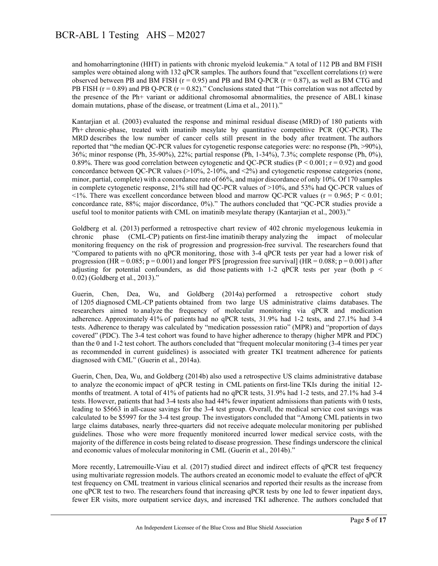and homoharringtonine (HHT) in patients with chronic myeloid leukemia." A total of 112 PB and BM FISH samples were obtained along with 132 qPCR samples. The authors found that "excellent correlations (r) were observed between PB and BM FISH ( $r = 0.95$ ) and PB and BM Q-PCR ( $r = 0.87$ ), as well as BM CTG and PB FISH ( $r = 0.89$ ) and PB Q-PCR ( $r = 0.82$ )." Conclusions stated that "This correlation was not affected by the presence of the Ph+ variant or additional chromosomal abnormalities, the presence of ABL1 kinase domain mutations, phase of the disease, or treatment (Lima et al., 2011)."

Kantarjian et al. (2003) evaluated the response and minimal residual disease (MRD) of 180 patients with Ph+ chronic-phase, treated with imatinib mesylate by quantitative competitive PCR (QC-PCR). The MRD describes the low number of cancer cells still present in the body after treatment. The authors reported that "the median QC-PCR values for cytogenetic response categories were: no response (Ph, >90%), 36%; minor response (Ph, 35-90%), 22%; partial response (Ph, 1-34%), 7.3%; complete response (Ph, 0%), 0.89%. There was good correlation between cytogenetic and QC-PCR studies ( $P < 0.001$ ;  $r = 0.92$ ) and good concordance between QC-PCR values (>10%, 2-10%, and <2%) and cytogenetic response categories (none, minor, partial, complete) with a concordance rate of 66%, and major discordance of only 10%. Of 170 samples in complete cytogenetic response, 21% still had QC-PCR values of >10%, and 53% had QC-PCR values of  $\langle 1\% \rangle$ . There was excellent concordance between blood and marrow QC-PCR values ( $r = 0.965$ ; P  $\langle 0.01 \rangle$ ) concordance rate, 88%; major discordance, 0%)." The authors concluded that "QC-PCR studies provide a useful tool to monitor patients with CML on imatinib mesylate therapy (Kantarjian et al., 2003)."

Goldberg et al. (2013) performed a retrospective chart review of 402 chronic myelogenous leukemia in chronic phase (CML-CP) patients on first-line imatinib therapy analyzing the impact of molecular monitoring frequency on the risk of progression and progression-free survival. The researchers found that "Compared to patients with no qPCR monitoring, those with 3-4 qPCR tests per year had a lower risk of progression (HR =  $0.085$ ; p =  $0.001$ ) and longer PFS [progression free survival] (HR =  $0.088$ ; p =  $0.001$ ) after adjusting for potential confounders, as did those patients with 1-2 qPCR tests per year (both  $p \le$ 0.02) (Goldberg et al., 2013)."

Guerin, Chen, Dea, Wu, and Goldberg (2014a) performed a retrospective cohort study of 1205 diagnosed CML-CP patients obtained from two large US administrative claims databases. The researchers aimed to analyze the frequency of molecular monitoring via qPCR and medication adherence. Approximately 41% of patients had no qPCR tests, 31.9% had 1-2 tests, and 27.1% had 3-4 tests. Adherence to therapy was calculated by "medication possession ratio" (MPR) and "proportion of days covered" (PDC). The 3-4 test cohort was found to have higher adherence to therapy (higher MPR and PDC) than the 0 and 1-2 test cohort. The authors concluded that "frequent molecular monitoring (3-4 times per year as recommended in current guidelines) is associated with greater TKI treatment adherence for patients diagnosed with CML" (Guerin et al., 2014a).

Guerin, Chen, Dea, Wu, and Goldberg (2014b) also used a retrospective US claims administrative database to analyze the economic impact of qPCR testing in CML patients on first-line TKIs during the initial 12 months of treatment. A total of 41% of patients had no qPCR tests, 31.9% had 1-2 tests, and 27.1% had 3-4 tests. However, patients that had 3-4 tests also had 44% fewer inpatient admissions than patients with 0 tests, leading to \$5663 in all-cause savings for the 3-4 test group. Overall, the medical service cost savings was calculated to be \$5997 for the 3-4 test group. The investigators concluded that "Among CML patients in two large claims databases, nearly three-quarters did not receive adequate molecular monitoring per published guidelines. Those who were more frequently monitored incurred lower medical service costs, with the majority of the difference in costs being related to disease progression. These findings underscore the clinical and economic values of molecular monitoring in CML (Guerin et al., 2014b)."

More recently, Latremouille-Viau et al. (2017) studied direct and indirect effects of qPCR test frequency using multivariate regression models. The authors created an economic model to evaluate the effect of qPCR test frequency on CML treatment in various clinical scenarios and reported their results as the increase from one qPCR test to two. The researchers found that increasing qPCR tests by one led to fewer inpatient days, fewer ER visits, more outpatient service days, and increased TKI adherence. The authors concluded that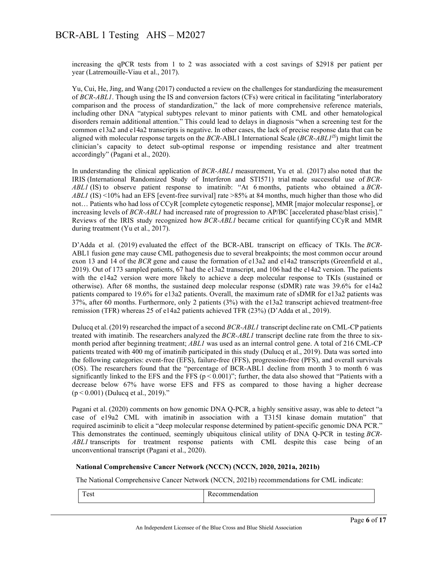increasing the qPCR tests from 1 to 2 was associated with a cost savings of \$2918 per patient per year (Latremouille-Viau et al., 2017).

Yu, Cui, He, Jing, and Wang (2017) conducted a review on the challenges for standardizing the measurement of *BCR-ABL1*. Though using the IS and conversion factors (CFs) were critical in facilitating "interlaboratory comparison and the process of standardization," the lack of more comprehensive reference materials, including other DNA "atypical subtypes relevant to minor patients with CML and other hematological disorders remain additional attention." This could lead to delays in diagnosis "when a screening test for the common e13a2 and e14a2 transcripts is negative. In other cases, the lack of precise response data that can be aligned with molecular response targets on the *BCR-*ABL1 International Scale (*BCR-ABL1IS*) might limit the clinician's capacity to detect sub-optimal response or impending resistance and alter treatment accordingly" (Pagani et al., 2020).

In understanding the clinical application of *BCR-ABL1* measurement, Yu et al. (2017) also noted that the IRIS (International Randomized Study of Interferon and STI571) trial made successful use of *BCR-ABL1* (IS) to observe patient response to imatinib: "At 6 months, patients who obtained a *BCR-ABL1* (IS) <10% had an EFS [event-free survival] rate >85% at 84 months, much higher than those who did not… Patients who had loss of CCyR [complete cytogenetic response], MMR [major molecular response], or increasing levels of *BCR-ABL1* had increased rate of progression to AP/BC [accelerated phase/blast crisis]." Reviews of the IRIS study recognized how *BCR-ABL1* became critical for quantifying CCyR and MMR during treatment (Yu et al., 2017).

D'Adda et al. (2019) evaluated the effect of the BCR-ABL transcript on efficacy of TKIs. The *BCR-*ABL1 fusion gene may cause CML pathogenesis due to several breakpoints; the most common occur around exon 13 and 14 of the *BCR* gene and cause the formation of e13a2 and e14a2 transcripts (Greenfield et al., 2019). Out of 173 sampled patients, 67 had the e13a2 transcript, and 106 had the e14a2 version. The patients with the e14a2 version were more likely to achieve a deep molecular response to TKIs (sustained or otherwise). After 68 months, the sustained deep molecular response (sDMR) rate was 39.6% for e14a2 patients compared to 19.6% for e13a2 patients. Overall, the maximum rate of sDMR for e13a2 patients was 37%, after 60 months. Furthermore, only 2 patients (3%) with the e13a2 transcript achieved treatment-free remission (TFR) whereas 25 of e14a2 patients achieved TFR (23%) (D'Adda et al., 2019).

Dulucq et al. (2019) researched the impact of a second *BCR-ABL1* transcript decline rate on CML-CP patients treated with imatinib. The researchers analyzed the *BCR-ABL1* transcript decline rate from the three to sixmonth period after beginning treatment; *ABL1* was used as an internal control gene. A total of 216 CML-CP patients treated with 400 mg of imatinib participated in this study (Dulucq et al., 2019). Data was sorted into the following categories: event-free (EFS), failure-free (FFS), progression-free (PFS), and overall survivals (OS). The researchers found that the "percentage of BCR-ABL1 decline from month 3 to month 6 was significantly linked to the EFS and the FFS ( $p < 0.001$ )"; further, the data also showed that "Patients with a decrease below 67% have worse EFS and FFS as compared to those having a higher decrease (p < 0.001) (Dulucq et al., 2019)."

Pagani et al. (2020) comments on how genomic DNA Q-PCR, a highly sensitive assay, was able to detect "a case of e19a2 CML with imatinib in association with a T315I kinase domain mutation" that required asciminib to elicit a "deep molecular response determined by patient-specific genomic DNA PCR." This demonstrates the continued, seemingly ubiquitous clinical utility of DNA Q-PCR in testing *BCR-ABL1* transcripts for treatment response patients with CML despite this case being of an unconventional transcript (Pagani et al., 2020).

#### **National Comprehensive Cancer Network (NCCN) (NCCN, 2020, 2021a, 2021b)**

The National Comprehensive Cancer Network (NCCN, 2021b) recommendations for CML indicate:

| $\sim$ |  |
|--------|--|
|--------|--|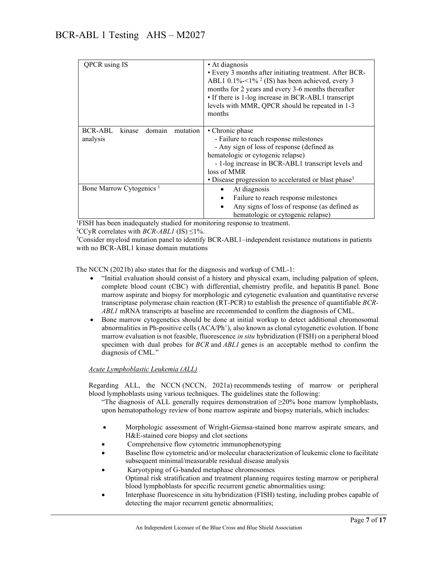| QPCR using IS                                       | • At diagnosis<br>• Every 3 months after initiating treatment. After BCR-<br>ABL1 0.1%- $1\%$ <sup>2</sup> (IS) has been achieved, every 3<br>months for 2 years and every 3-6 months thereafter<br>• If there is 1-log increase in BCR-ABL1 transcript<br>levels with MMR, QPCR should be repeated in 1-3<br>months |  |
|-----------------------------------------------------|----------------------------------------------------------------------------------------------------------------------------------------------------------------------------------------------------------------------------------------------------------------------------------------------------------------------|--|
| domain<br>BCR-ABL<br>kinase<br>mutation<br>analysis | • Chronic phase<br>- Failure to reach response milestones<br>- Any sign of loss of response (defined as<br>hematologic or cytogenic relapse)<br>- 1-log increase in BCR-ABL1 transcript levels and<br>loss of MMR<br>• Disease progression to accelerated or blast phase <sup>3</sup>                                |  |
| Bone Marrow Cytogenics <sup>1</sup>                 | At diagnosis<br>٠<br>Failure to reach response milestones<br>$\bullet$<br>Any signs of loss of response (as defined as<br>$\bullet$<br>hematologic or cytogenic relapse)                                                                                                                                             |  |

<sup>1</sup>FISH has been inadequately studied for monitoring response to treatment.

<sup>2</sup>CCyR correlates with *BCR-ABL1* (IS)  $\leq$ 1%.

<sup>3</sup>Consider myeloid mutation panel to identify BCR-ABL1–independent resistance mutations in patients with no BCR-ABL1 kinase domain mutations

The NCCN (2021b) also states that for the diagnosis and workup of CML-1:

- "Initial evaluation should consist of a history and physical exam, including palpation of spleen, complete blood count (CBC) with differential, chemistry profile, and hepatitis B panel. Bone marrow aspirate and biopsy for morphologic and cytogenetic evaluation and quantitative reverse transcriptase polymerase chain reaction (RT-PCR) to establish the presence of quantifiable *BCR-ABL1* mRNA transcripts at baseline are recommended to confirm the diagnosis of CML.
- Bone marrow cytogenetics should be done at initial workup to detect additional chromosomal abnormalities in Ph-positive cells  $(ACA/Ph^+)$ , also known as clonal cytogenetic evolution. If bone marrow evaluation is not feasible, fluorescence *in situ* hybridization (FISH) on a peripheral blood specimen with dual probes for *BCR* and *ABL1* genes is an acceptable method to confirm the diagnosis of CML."

#### *Acute Lymphoblastic Leukemia (ALL)*

Regarding ALL, the NCCN (NCCN, 2021a) recommends testing of marrow or peripheral blood lymphoblasts using various techniques. The guidelines state the following:

"The diagnosis of ALL generally requires demonstration of  $\geq$ 20% bone marrow lymphoblasts, upon hematopathology review of bone marrow aspirate and biopsy materials, which includes:

- Morphologic assessment of Wright-Giemsa-stained bone marrow aspirate smears, and H&E-stained core biopsy and clot sections
- Comprehensive flow cytometric immunophenotyping
- Baseline flow cytometric and/or molecular characterization of leukemic clone to facilitate subsequent minimal/measurable residual disease analysis
- Karyotyping of G-banded metaphase chromosomes Optimal risk stratification and treatment planning requires testing marrow or peripheral blood lymphoblasts for specific recurrent genetic abnormalities using:
- Interphase fluorescence in situ hybridization (FISH) testing, including probes capable of detecting the major recurrent genetic abnormalities;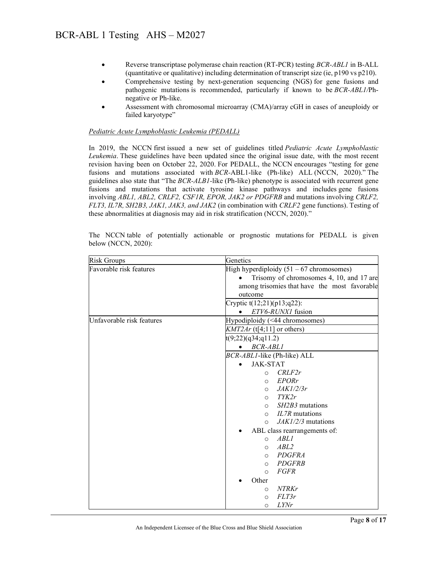- Reverse transcriptase polymerase chain reaction (RT-PCR) testing *BCR-ABL1* in B-ALL (quantitative or qualitative) including determination of transcript size (ie, p190 vs p210).
- Comprehensive testing by next-generation sequencing (NGS) for gene fusions and pathogenic mutations is recommended, particularly if known to be *BCR-ABL1/*Phnegative or Ph-like.
- Assessment with chromosomal microarray (CMA)/array cGH in cases of aneuploidy or failed karyotype"

#### *Pediatric Acute Lymphoblastic Leukemia (PEDALL)*

In 2019, the NCCN first issued a new set of guidelines titled *Pediatric Acute Lymphoblastic Leukemia*. These guidelines have been updated since the original issue date, with the most recent revision having been on October 22, 2020. For PEDALL, the NCCN encourages "testing for gene fusions and mutations associated with *BCR-*ABL1-like (Ph-like) ALL (NCCN, 2020)." The guidelines also state that "The *BCR-ALB1-*like (Ph-like) phenotype is associated with recurrent gene fusions and mutations that activate tyrosine kinase pathways and includes gene fusions involving *ABL1, ABL2, CRLF2, CSF1R, EPOR, JAK2 or PDGFRB* and mutations involving *CRLF2, FLT3, IL7R, SH2B3, JAK1, JAK3, and JAK2* (in combination with *CRLF2* gene functions). Testing of these abnormalities at diagnosis may aid in risk stratification (NCCN, 2020)."

| <b>Risk Groups</b>        | Genetics                                                  |  |
|---------------------------|-----------------------------------------------------------|--|
| Favorable risk features   | High hyperdiploidy $(51 - 67$ chromosomes)                |  |
|                           | Trisomy of chromosomes 4, 10, and 17 are                  |  |
|                           | among trisomies that have the most favorable              |  |
|                           | outcome                                                   |  |
|                           | Cryptic t(12;21)(p13;q22):                                |  |
|                           | ETV6-RUNX1 fusion                                         |  |
| Unfavorable risk features | Hypodiploidy (<44 chromosomes)                            |  |
|                           | $KMT2Ar$ (t[4;11] or others)                              |  |
|                           | t(9;22)(q34;q11.2)                                        |  |
|                           | BCR-ABL1                                                  |  |
|                           | BCR-ABLI-like (Ph-like) ALL                               |  |
|                           | <b>JAK-STAT</b>                                           |  |
|                           | CRLF2r<br>$\circ$                                         |  |
|                           | <b>EPORr</b><br>$\circ$                                   |  |
|                           | JAKI/2/3r<br>$\circ$                                      |  |
|                           | TYK2r<br>$\circ$                                          |  |
|                           | <i>SH2B3</i> mutations<br>$\circ$                         |  |
|                           | <i>IL7R</i> mutations<br>$\Omega$<br>$JAKI/2/3$ mutations |  |
|                           | $\circ$                                                   |  |
|                           | ABL class rearrangements of:<br><b>ABLI</b><br>$\circ$    |  |
|                           | ABL2<br>$\Omega$                                          |  |
|                           | <b>PDGFRA</b><br>$\circ$                                  |  |
|                           | <b>PDGFRB</b><br>$\circ$                                  |  |
|                           | <b>FGFR</b><br>$\Omega$                                   |  |
|                           | Other                                                     |  |
|                           | <b>NTRKr</b><br>$\circ$                                   |  |
|                           | FLT3r<br>$\circ$                                          |  |
|                           | <i>LYNr</i><br>O                                          |  |

The NCCN table of potentially actionable or prognostic mutations for PEDALL is given below (NCCN, 2020):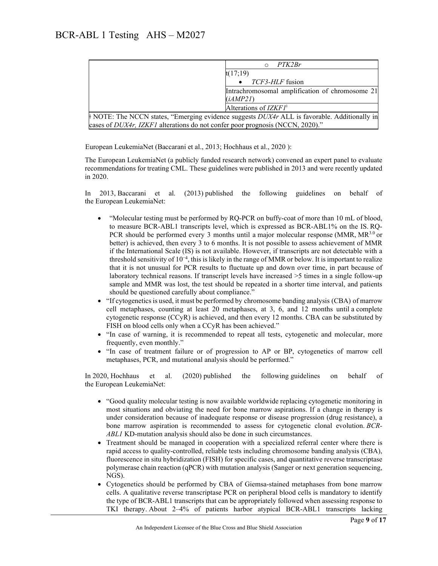|                                                                                                          | PTK2Br                                          |  |
|----------------------------------------------------------------------------------------------------------|-------------------------------------------------|--|
|                                                                                                          | t(17;19)                                        |  |
|                                                                                                          | TCF3-HLF fusion                                 |  |
|                                                                                                          | Intrachromosomal amplification of chromosome 21 |  |
|                                                                                                          | (iAMP2I)                                        |  |
|                                                                                                          | Alterations of $IZKFI^*$                        |  |
| $\parallel$ NOTE: The NCCN states, "Emerging evidence suggests $DUX4r$ ALL is favorable. Additionally in |                                                 |  |
| cases of DUX4r, IZKF1 alterations do not confer poor prognosis (NCCN, 2020)."                            |                                                 |  |

European LeukemiaNet (Baccarani et al., 2013; Hochhaus et al., 2020 ):

The European LeukemiaNet (a publicly funded research network) convened an expert panel to evaluate recommendations for treating CML. These guidelines were published in 2013 and were recently updated in 2020.

In 2013, Baccarani et al. (2013) published the following guidelines on behalf of the European LeukemiaNet:

- "Molecular testing must be performed by RQ-PCR on buffy-coat of more than 10 mL of blood, to measure BCR-ABL1 transcripts level, which is expressed as BCR-ABL1% on the IS. RQ-PCR should be performed every 3 months until a major molecular response (MMR, MR<sup>3.0</sup> or better) is achieved, then every 3 to 6 months. It is not possible to assess achievement of MMR if the International Scale (IS) is not available. However, if transcripts are not detectable with a threshold sensitivity of 10−4, this is likely in the range of MMR or below. It is important to realize that it is not unusual for PCR results to fluctuate up and down over time, in part because of laboratory technical reasons. If transcript levels have increased >5 times in a single follow-up sample and MMR was lost, the test should be repeated in a shorter time interval, and patients should be questioned carefully about compliance."
- "If cytogenetics is used, it must be performed by chromosome banding analysis (CBA) of marrow cell metaphases, counting at least 20 metaphases, at 3, 6, and 12 months until a complete cytogenetic response (CCyR) is achieved, and then every 12 months. CBA can be substituted by FISH on blood cells only when a CCyR has been achieved."
- "In case of warning, it is recommended to repeat all tests, cytogenetic and molecular, more frequently, even monthly."
- "In case of treatment failure or of progression to AP or BP, cytogenetics of marrow cell metaphases, PCR, and mutational analysis should be performed."

In 2020, Hochhaus et al. (2020) published the following guidelines on behalf of the European LeukemiaNet:

- "Good quality molecular testing is now available worldwide replacing cytogenetic monitoring in most situations and obviating the need for bone marrow aspirations. If a change in therapy is under consideration because of inadequate response or disease progression (drug resistance), a bone marrow aspiration is recommended to assess for cytogenetic clonal evolution. *BCR-ABL1* KD-mutation analysis should also be done in such circumstances.
- Treatment should be managed in cooperation with a specialized referral center where there is rapid access to quality-controlled, reliable tests including chromosome banding analysis (CBA), fluorescence in situ hybridization (FISH) for specific cases, and quantitative reverse transcriptase polymerase chain reaction (qPCR) with mutation analysis (Sanger or next generation sequencing, NGS).
- Cytogenetics should be performed by CBA of Giemsa-stained metaphases from bone marrow cells. A qualitative reverse transcriptase PCR on peripheral blood cells is mandatory to identify the type of BCR-ABL1 transcripts that can be appropriately followed when assessing response to TKI therapy. About 2–4% of patients harbor atypical BCR-ABL1 transcripts lacking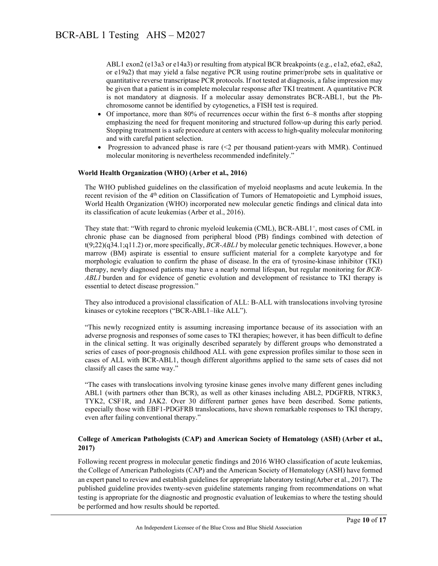ABL1 exon2 (e13a3 or e14a3) or resulting from atypical BCR breakpoints (e.g., e1a2, e6a2, e8a2, or e19a2) that may yield a false negative PCR using routine primer/probe sets in qualitative or quantitative reverse transcriptase PCR protocols. If not tested at diagnosis, a false impression may be given that a patient is in complete molecular response after TKI treatment. A quantitative PCR is not mandatory at diagnosis. If a molecular assay demonstrates BCR-ABL1, but the Phchromosome cannot be identified by cytogenetics, a FISH test is required.

- Of importance, more than 80% of recurrences occur within the first 6–8 months after stopping emphasizing the need for frequent monitoring and structured follow-up during this early period. Stopping treatment is a safe procedure at centers with access to high-quality molecular monitoring and with careful patient selection.
- Progression to advanced phase is rare  $(\leq 2$  per thousand patient-years with MMR). Continued molecular monitoring is nevertheless recommended indefinitely."

#### **World Health Organization (WHO) (Arber et al., 2016)**

The WHO published guidelines on the classification of myeloid neoplasms and acute leukemia. In the recent revision of the 4<sup>th</sup> edition on Classification of Tumors of Hematopoietic and Lymphoid issues, World Health Organization (WHO) incorporated new molecular genetic findings and clinical data into its classification of acute leukemias (Arber et al., 2016).

They state that: "With regard to chronic myeloid leukemia (CML), BCR-ABL1<sup>+</sup>, most cases of CML in chronic phase can be diagnosed from peripheral blood (PB) findings combined with detection of t(9;22)(q34.1;q11.2) or, more specifically, *BCR-ABL1* by molecular genetic techniques. However, a bone marrow (BM) aspirate is essential to ensure sufficient material for a complete karyotype and for morphologic evaluation to confirm the phase of disease. In the era of tyrosine-kinase inhibitor (TKI) therapy, newly diagnosed patients may have a nearly normal lifespan, but regular monitoring for *BCR-ABL1* burden and for evidence of genetic evolution and development of resistance to TKI therapy is essential to detect disease progression."

They also introduced a provisional classification of ALL: B-ALL with translocations involving tyrosine kinases or cytokine receptors ("BCR-ABL1–like ALL").

"This newly recognized entity is assuming increasing importance because of its association with an adverse prognosis and responses of some cases to TKI therapies; however, it has been difficult to define in the clinical setting. It was originally described separately by different groups who demonstrated a series of cases of poor-prognosis childhood ALL with gene expression profiles similar to those seen in cases of ALL with BCR-ABL1, though different algorithms applied to the same sets of cases did not classify all cases the same way."

"The cases with translocations involving tyrosine kinase genes involve many different genes including ABL1 (with partners other than BCR), as well as other kinases including ABL2, PDGFRB, NTRK3, TYK2, CSF1R, and JAK2. Over 30 different partner genes have been described. Some patients, especially those with EBF1-PDGFRB translocations, have shown remarkable responses to TKI therapy, even after failing conventional therapy."

#### **College of American Pathologists (CAP) and American Society of Hematology (ASH) (Arber et al., 2017)**

Following recent progress in molecular genetic findings and 2016 WHO classification of acute leukemias, the College of American Pathologists (CAP) and the American Society of Hematology (ASH) have formed an expert panel to review and establish guidelines for appropriate laboratory testing(Arber et al., 2017). The published guideline provides twenty-seven guideline statements ranging from recommendations on what testing is appropriate for the diagnostic and prognostic evaluation of leukemias to where the testing should be performed and how results should be reported.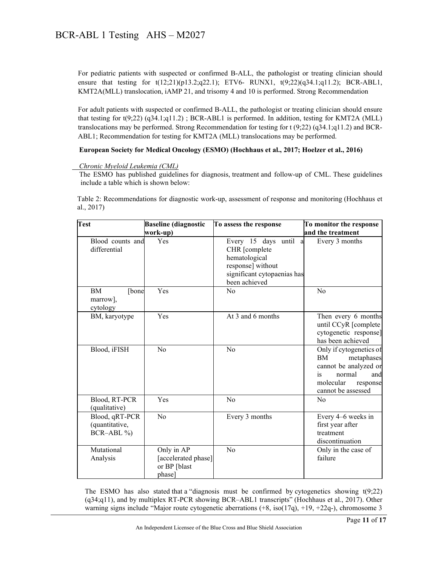For pediatric patients with suspected or confirmed B-ALL, the pathologist or treating clinician should ensure that testing for  $t(12;21)(p13.2;q22.1)$ ; ETV6- RUNX1,  $t(9;22)(q34.1;q11.2)$ ; BCR-ABL1, KMT2A(MLL) translocation, iAMP 21, and trisomy 4 and 10 is performed. Strong Recommendation

For adult patients with suspected or confirmed B-ALL, the pathologist or treating clinician should ensure that testing for t(9;22) (q34.1;q11.2) ; BCR-ABL1 is performed. In addition, testing for KMT2A (MLL) translocations may be performed. Strong Recommendation for testing for t (9;22) (q34.1;q11.2) and BCR-ABL1; Recommendation for testing for KMT2A (MLL) translocations may be performed.

#### **European Society for Medical Oncology (ESMO) (Hochhaus et al., 2017; Hoelzer et al., 2016)**

 *Chronic Myeloid Leukemia (CML)*

 The ESMO has published guidelines for diagnosis, treatment and follow-up of CML. These guidelines include a table which is shown below:

Table 2: Recommendations for diagnostic work-up, assessment of response and monitoring (Hochhaus et al., 2017)

| <b>Test</b>                                     | <b>Baseline</b> (diagnostic<br>work-up)                     | To assess the response                                                                                                          | To monitor the response<br>and the treatment                                                                                               |
|-------------------------------------------------|-------------------------------------------------------------|---------------------------------------------------------------------------------------------------------------------------------|--------------------------------------------------------------------------------------------------------------------------------------------|
| Blood counts and<br>differential                | Yes                                                         | Every 15 days until<br>a<br>CHR [complete<br>hematological<br>response] without<br>significant cytopaenias has<br>been achieved | Every 3 months                                                                                                                             |
| <b>BM</b><br>[bone<br>marrow],<br>cytology      | Yes                                                         | No                                                                                                                              | No                                                                                                                                         |
| BM, karyotype                                   | Yes                                                         | At 3 and 6 months                                                                                                               | Then every 6 months<br>until CCyR [complete<br>cytogenetic response]<br>has been achieved                                                  |
| Blood, iFISH                                    | No                                                          | N <sub>0</sub>                                                                                                                  | Only if cytogenetics of<br>BM<br>metaphases<br>cannot be analyzed or<br>is<br>normal<br>and<br>molecular<br>response<br>cannot be assessed |
| Blood, RT-PCR<br>(qualitative)                  | <b>Yes</b>                                                  | No                                                                                                                              | N <sub>0</sub>                                                                                                                             |
| Blood, qRT-PCR<br>(quantitative,<br>$BCR-ABL\%$ | No                                                          | Every 3 months                                                                                                                  | Every 4–6 weeks in<br>first year after<br>treatment<br>discontinuation                                                                     |
| Mutational<br>Analysis                          | Only in AP<br>[accelerated phase]<br>or BP [blast<br>phase] | No                                                                                                                              | Only in the case of<br>failure                                                                                                             |

The ESMO has also stated that a "diagnosis must be confirmed by cytogenetics showing  $t(9;22)$ (q34;q11), and by multiplex RT-PCR showing BCR–ABL1 transcripts" (Hochhaus et al., 2017). Other warning signs include "Major route cytogenetic aberrations  $(+8, \text{iso}(17q), +19, +22q)$ , chromosome 3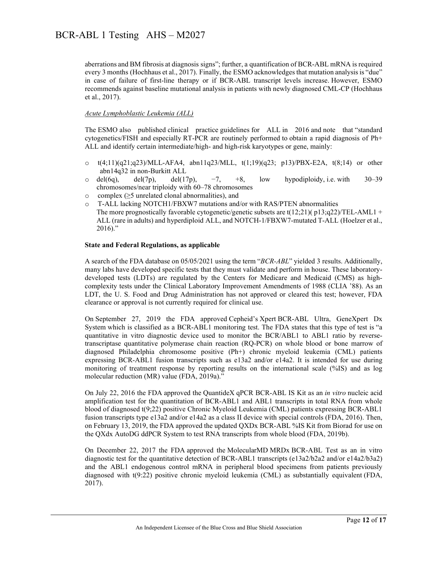aberrations and BM fibrosis at diagnosis signs"; further, a quantification of BCR-ABL mRNA is required every 3 months (Hochhaus et al., 2017). Finally, the ESMO acknowledges that mutation analysis is "due" in case of failure of first-line therapy or if BCR-ABL transcript levels increase. However, ESMO recommends against baseline mutational analysis in patients with newly diagnosed CML-CP (Hochhaus et al., 2017).

#### *Acute Lymphoblastic Leukemia (ALL)*

The ESMO also published clinical practice guidelines for ALL in 2016 and note that "standard cytogenetics/FISH and especially RT-PCR are routinely performed to obtain a rapid diagnosis of Ph+ ALL and identify certain intermediate/high- and high-risk karyotypes or gene, mainly:

- $\circ$  t(4;11)(q21;q23)/MLL-AFA4, abn11q23/MLL, t(1;19)(q23; p13)/PBX-E2A, t(8;14) or other abn14q32 in non-Burkitt ALL
- o del(6q), del(7p), del(17p),  $-7$ ,  $+8$ , low hypodiploidy, i.e. with 30–39 chromosomes/near triploidy with 60–78 chromosomes
- o complex (≥5 unrelated clonal abnormalities), and
- o T-ALL lacking NOTCH1/FBXW7 mutations and/or with RAS/PTEN abnormalities The more prognostically favorable cytogenetic/genetic subsets are  $t(12;21)(p13;q22)/TEL-AML1 +$ ALL (rare in adults) and hyperdiploid ALL, and NOTCH-1/FBXW7-mutated T-ALL (Hoelzer et al., 2016)."

#### **State and Federal Regulations, as applicable**

A search of the FDA database on 05/05/2021 using the term "*BCR-ABL*" yielded 3 results. Additionally, many labs have developed specific tests that they must validate and perform in house. These laboratorydeveloped tests (LDTs) are regulated by the Centers for Medicare and Medicaid (CMS) as highcomplexity tests under the Clinical Laboratory Improvement Amendments of 1988 (CLIA '88). As an LDT, the U. S. Food and Drug Administration has not approved or cleared this test; however, FDA clearance or approval is not currently required for clinical use.

On September 27, 2019 the FDA approved Cepheid's Xpert BCR-ABL Ultra, GeneXpert Dx System which is classified as a BCR-ABL1 monitoring test. The FDA states that this type of test is "a quantitative in vitro diagnostic device used to monitor the BCR/ABL1 to ABL1 ratio by reversetranscriptase quantitative polymerase chain reaction (RQ-PCR) on whole blood or bone marrow of diagnosed Philadelphia chromosome positive (Ph+) chronic myeloid leukemia (CML) patients expressing BCR-ABL1 fusion transcripts such as e13a2 and/or e14a2. It is intended for use during monitoring of treatment response by reporting results on the international scale (%IS) and as log molecular reduction (MR) value (FDA, 2019a)."

On July 22, 2016 the FDA approved the QuantideX qPCR BCR-ABL IS Kit as an *in vitro* nucleic acid amplification test for the quantitation of BCR-ABL1 and ABL1 transcripts in total RNA from whole blood of diagnosed t(9;22) positive Chronic Myeloid Leukemia (CML) patients expressing BCR-ABL1 fusion transcripts type e13a2 and/or e14a2 as a class II device with special controls (FDA, 2016). Then, on February 13, 2019, the FDA approved the updated QXDx BCR-ABL %IS Kit from Biorad for use on the QXdx AutoDG ddPCR System to test RNA transcripts from whole blood (FDA, 2019b).

On December 22, 2017 the FDA approved the MolecularMD MRDx BCR-ABL Test as an in vitro diagnostic test for the quantitative detection of BCR-ABL1 transcripts (e13a2/b2a2 and/or e14a2/b3a2) and the ABL1 endogenous control mRNA in peripheral blood specimens from patients previously diagnosed with t(9:22) positive chronic myeloid leukemia (CML) as substantially equivalent (FDA, 2017).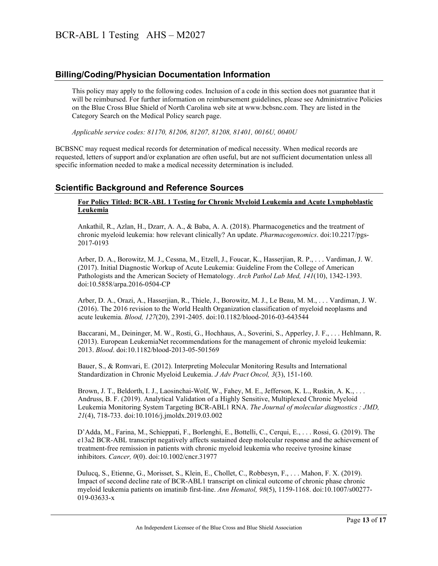### **Billing/Coding/Physician Documentation Information**

This policy may apply to the following codes. Inclusion of a code in this section does not guarantee that it will be reimbursed. For further information on reimbursement guidelines, please see Administrative Policies on the Blue Cross Blue Shield of North Carolina web site at www.bcbsnc.com. They are listed in the Category Search on the Medical Policy search page.

*Applicable service codes: 81170, 81206, 81207, 81208, 81401, 0016U, 0040U* 

BCBSNC may request medical records for determination of medical necessity. When medical records are requested, letters of support and/or explanation are often useful, but are not sufficient documentation unless all specific information needed to make a medical necessity determination is included.

### **Scientific Background and Reference Sources**

#### **For Policy Titled: BCR-ABL 1 Testing for Chronic Myeloid Leukemia and Acute Lymphoblastic Leukemia**

Ankathil, R., Azlan, H., Dzarr, A. A., & Baba, A. A. (2018). Pharmacogenetics and the treatment of chronic myeloid leukemia: how relevant clinically? An update. *Pharmacogenomics*. doi:10.2217/pgs-2017-0193

Arber, D. A., Borowitz, M. J., Cessna, M., Etzell, J., Foucar, K., Hasserjian, R. P., . . . Vardiman, J. W. (2017). Initial Diagnostic Workup of Acute Leukemia: Guideline From the College of American Pathologists and the American Society of Hematology. *Arch Pathol Lab Med, 141*(10), 1342-1393. doi:10.5858/arpa.2016-0504-CP

Arber, D. A., Orazi, A., Hasserjian, R., Thiele, J., Borowitz, M. J., Le Beau, M. M., . . . Vardiman, J. W. (2016). The 2016 revision to the World Health Organization classification of myeloid neoplasms and acute leukemia. *Blood, 127*(20), 2391-2405. doi:10.1182/blood-2016-03-643544

Baccarani, M., Deininger, M. W., Rosti, G., Hochhaus, A., Soverini, S., Apperley, J. F., . . . Hehlmann, R. (2013). European LeukemiaNet recommendations for the management of chronic myeloid leukemia: 2013. *Blood*. doi:10.1182/blood-2013-05-501569

Bauer, S., & Romvari, E. (2012). Interpreting Molecular Monitoring Results and International Standardization in Chronic Myeloid Leukemia. *J Adv Pract Oncol, 3*(3), 151-160.

Brown, J. T., Beldorth, I. J., Laosinchai-Wolf, W., Fahey, M. E., Jefferson, K. L., Ruskin, A. K., . . . Andruss, B. F. (2019). Analytical Validation of a Highly Sensitive, Multiplexed Chronic Myeloid Leukemia Monitoring System Targeting BCR-ABL1 RNA. *The Journal of molecular diagnostics : JMD, 21*(4), 718-733. doi:10.1016/j.jmoldx.2019.03.002

 D'Adda, M., Farina, M., Schieppati, F., Borlenghi, E., Bottelli, C., Cerqui, E., . . . Rossi, G. (2019). The e13a2 BCR-ABL transcript negatively affects sustained deep molecular response and the achievement of treatment-free remission in patients with chronic myeloid leukemia who receive tyrosine kinase inhibitors. *Cancer, 0*(0). doi:10.1002/cncr.31977

Dulucq, S., Etienne, G., Morisset, S., Klein, E., Chollet, C., Robbesyn, F., . . . Mahon, F. X. (2019). Impact of second decline rate of BCR-ABL1 transcript on clinical outcome of chronic phase chronic myeloid leukemia patients on imatinib first-line. *Ann Hematol, 98*(5), 1159-1168. doi:10.1007/s00277- 019-03633-x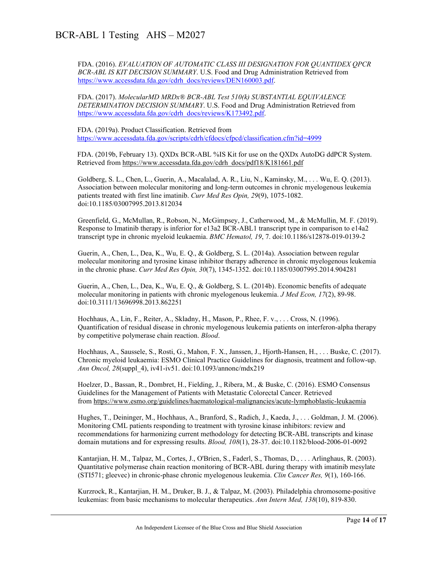FDA. (2016). *EVALUATION OF AUTOMATIC CLASS III DESIGNATION FOR QUANTIDEX QPCR BCR-ABL IS KIT DECISION SUMMARY*. U.S. Food and Drug Administration Retrieved from [https://www.accessdata.fda.gov/cdrh\\_docs/reviews/DEN160003.pdf.](https://www.accessdata.fda.gov/cdrh_docs/reviews/DEN160003.pdf)

FDA. (2017). *MolecularMD MRDx® BCR-ABL Test 510(k) SUBSTANTIAL EQUIVALENCE DETERMINATION DECISION SUMMARY*. U.S. Food and Drug Administration Retrieved from [https://www.accessdata.fda.gov/cdrh\\_docs/reviews/K173492.pdf.](https://www.accessdata.fda.gov/cdrh_docs/reviews/K173492.pdf)

 FDA. (2019a). Product Classification. Retrieved from <https://www.accessdata.fda.gov/scripts/cdrh/cfdocs/cfpcd/classification.cfm?id=4999>

 FDA. (2019b, February 13). QXDx BCR-ABL %IS Kit for use on the QXDx AutoDG ddPCR System. Retrieved from [https://www.accessdata.fda.gov/cdrh\\_docs/pdf18/K181661.pdf](https://www.accessdata.fda.gov/cdrh_docs/pdf18/K181661.pdf)

Goldberg, S. L., Chen, L., Guerin, A., Macalalad, A. R., Liu, N., Kaminsky, M., . . . Wu, E. Q. (2013). Association between molecular monitoring and long-term outcomes in chronic myelogenous leukemia patients treated with first line imatinib. *Curr Med Res Opin, 29*(9), 1075-1082. doi:10.1185/03007995.2013.812034

Greenfield, G., McMullan, R., Robson, N., McGimpsey, J., Catherwood, M., & McMullin, M. F. (2019). Response to Imatinib therapy is inferior for e13a2 BCR-ABL1 transcript type in comparison to e14a2 transcript type in chronic myeloid leukaemia. *BMC Hematol, 19*, 7. doi:10.1186/s12878-019-0139-2

Guerin, A., Chen, L., Dea, K., Wu, E. Q., & Goldberg, S. L. (2014a). Association between regular molecular monitoring and tyrosine kinase inhibitor therapy adherence in chronic myelogenous leukemia in the chronic phase. *Curr Med Res Opin, 30*(7), 1345-1352. doi:10.1185/03007995.2014.904281

Guerin, A., Chen, L., Dea, K., Wu, E. Q., & Goldberg, S. L. (2014b). Economic benefits of adequate molecular monitoring in patients with chronic myelogenous leukemia. *J Med Econ, 17*(2), 89-98. doi:10.3111/13696998.2013.862251

Hochhaus, A., Lin, F., Reiter, A., Skladny, H., Mason, P., Rhee, F. v., . . . Cross, N. (1996). Quantification of residual disease in chronic myelogenous leukemia patients on interferon-alpha therapy by competitive polymerase chain reaction. *Blood*.

Hochhaus, A., Saussele, S., Rosti, G., Mahon, F. X., Janssen, J., Hjorth-Hansen, H., . . . Buske, C. (2017). Chronic myeloid leukaemia: ESMO Clinical Practice Guidelines for diagnosis, treatment and follow-up. *Ann Oncol, 28*(suppl\_4), iv41-iv51. doi:10.1093/annonc/mdx219

Hoelzer, D., Bassan, R., Dombret, H., Fielding, J., Ribera, M., & Buske, C. (2016). ESMO Consensus Guidelines for the Management of Patients with Metastatic Colorectal Cancer. Retrieved from <https://www.esmo.org/guidelines/haematological-malignancies/acute-lymphoblastic-leukaemia>

Hughes, T., Deininger, M., Hochhaus, A., Branford, S., Radich, J., Kaeda, J., . . . Goldman, J. M. (2006). Monitoring CML patients responding to treatment with tyrosine kinase inhibitors: review and recommendations for harmonizing current methodology for detecting BCR-ABL transcripts and kinase domain mutations and for expressing results. *Blood, 108*(1), 28-37. doi:10.1182/blood-2006-01-0092

Kantarjian, H. M., Talpaz, M., Cortes, J., O'Brien, S., Faderl, S., Thomas, D., . . . Arlinghaus, R. (2003). Quantitative polymerase chain reaction monitoring of BCR-ABL during therapy with imatinib mesylate (STI571; gleevec) in chronic-phase chronic myelogenous leukemia. *Clin Cancer Res, 9*(1), 160-166.

Kurzrock, R., Kantarjian, H. M., Druker, B. J., & Talpaz, M. (2003). Philadelphia chromosome-positive leukemias: from basic mechanisms to molecular therapeutics. *Ann Intern Med, 138*(10), 819-830.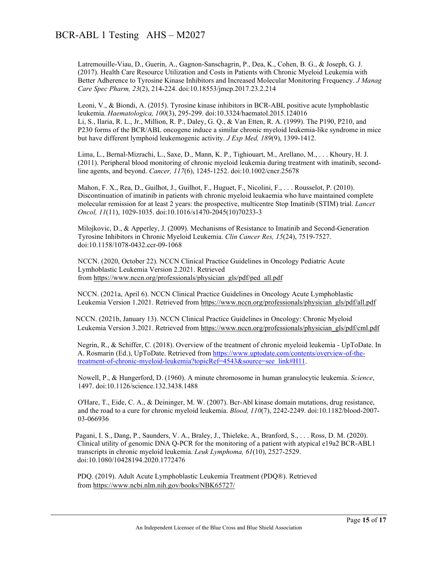Latremouille-Viau, D., Guerin, A., Gagnon-Sanschagrin, P., Dea, K., Cohen, B. G., & Joseph, G. J. (2017). Health Care Resource Utilization and Costs in Patients with Chronic Myeloid Leukemia with Better Adherence to Tyrosine Kinase Inhibitors and Increased Molecular Monitoring Frequency. *J Manag Care Spec Pharm, 23*(2), 214-224. doi:10.18553/jmcp.2017.23.2.214

Leoni, V., & Biondi, A. (2015). Tyrosine kinase inhibitors in BCR-ABL positive acute lymphoblastic leukemia. *Haematologica, 100*(3), 295-299. doi:10.3324/haematol.2015.124016 Li, S., Ilaria, R. L., Jr., Million, R. P., Daley, G. Q., & Van Etten, R. A. (1999). The P190, P210, and P230 forms of the BCR/ABL oncogene induce a similar chronic myeloid leukemia-like syndrome in mice but have different lymphoid leukemogenic activity. *J Exp Med, 189*(9), 1399-1412.

Lima, L., Bernal-Mizrachi, L., Saxe, D., Mann, K. P., Tighiouart, M., Arellano, M., . . . Khoury, H. J. (2011). Peripheral blood monitoring of chronic myeloid leukemia during treatment with imatinib, secondline agents, and beyond. *Cancer, 117*(6), 1245-1252. doi:10.1002/cncr.25678

Mahon, F. X., Rea, D., Guilhot, J., Guilhot, F., Huguet, F., Nicolini, F., . . . Rousselot, P. (2010). Discontinuation of imatinib in patients with chronic myeloid leukaemia who have maintained complete molecular remission for at least 2 years: the prospective, multicentre Stop Imatinib (STIM) trial. *Lancet Oncol, 11*(11), 1029-1035. doi:10.1016/s1470-2045(10)70233-3

Milojkovic, D., & Apperley, J. (2009). Mechanisms of Resistance to Imatinib and Second-Generation Tyrosine Inhibitors in Chronic Myeloid Leukemia. *Clin Cancer Res, 15*(24), 7519-7527. doi:10.1158/1078-0432.ccr-09-1068

NCCN. (2020, October 22). NCCN Clinical Practice Guidelines in Oncology Pediatric Acute Lymhoblastic Leukemia Version 2.2021. Retrieved from [https://www.nccn.org/professionals/physician\\_gls/pdf/ped\\_all.pdf](https://www.nccn.org/professionals/physician_gls/pdf/ped_all.pdf)

 NCCN. (2021a, April 6). NCCN Clinical Practice Guidelines in Oncology Acute Lymphoblastic Leukemia Version 1.2021. Retrieved from [https://www.nccn.org/professionals/physician\\_gls/pdf/all.pdf](https://www.nccn.org/professionals/physician_gls/pdf/all.pdf)

 NCCN. (2021b, January 13). NCCN Clinical Practice Guidelines in Oncology: Chronic Myeloid Leukemia Version 3.2021. Retrieved from [https://www.nccn.org/professionals/physician\\_gls/pdf/cml.pdf](https://www.nccn.org/professionals/physician_gls/pdf/cml.pdf)

 Negrin, R., & Schiffer, C. (2018). Overview of the treatment of chronic myeloid leukemia - UpToDate. In A. Rosmarin (Ed.), UpToDate. Retrieved from [https://www.uptodate.com/contents/overview-of-the](https://www.uptodate.com/contents/overview-of-the-treatment-of-chronic-myeloid-leukemia?topicRef=4543&source=see_link#H11)[treatment-of-chronic-myeloid-leukemia?topicRef=4543&source=see\\_link#H11.](https://www.uptodate.com/contents/overview-of-the-treatment-of-chronic-myeloid-leukemia?topicRef=4543&source=see_link#H11)

Nowell, P., & Hungerford, D. (1960). A minute chromosome in human granulocytic leukemia. *Science*, 1497. doi:10.1126/science.132.3438.1488

O'Hare, T., Eide, C. A., & Deininger, M. W. (2007). Bcr-Abl kinase domain mutations, drug resistance, and the road to a cure for chronic myeloid leukemia. *Blood, 110*(7), 2242-2249. doi:10.1182/blood-2007- 03-066936

 Pagani, I. S., Dang, P., Saunders, V. A., Braley, J., Thieleke, A., Branford, S., . . . Ross, D. M. (2020). Clinical utility of genomic DNA Q-PCR for the monitoring of a patient with atypical e19a2 BCR-ABL1 transcripts in chronic myeloid leukemia. *Leuk Lymphoma, 61*(10), 2527-2529. doi:10.1080/10428194.2020.1772476

 PDQ. (2019). Adult Acute Lymphoblastic Leukemia Treatment (PDQ®). Retrieved from <https://www.ncbi.nlm.nih.gov/books/NBK65727/>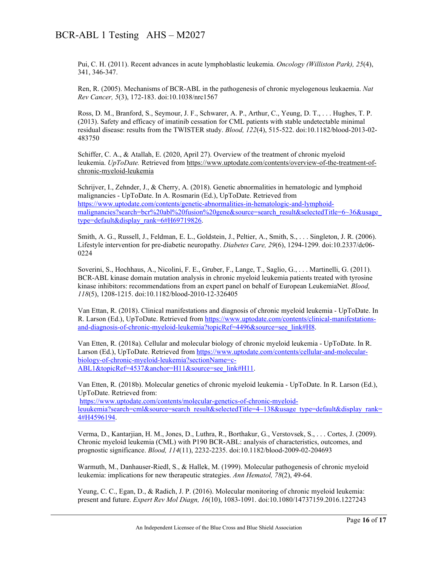Pui, C. H. (2011). Recent advances in acute lymphoblastic leukemia. *Oncology (Williston Park), 25*(4), 341, 346-347.

Ren, R. (2005). Mechanisms of BCR-ABL in the pathogenesis of chronic myelogenous leukaemia. *Nat Rev Cancer, 5*(3), 172-183. doi:10.1038/nrc1567

Ross, D. M., Branford, S., Seymour, J. F., Schwarer, A. P., Arthur, C., Yeung, D. T., . . . Hughes, T. P. (2013). Safety and efficacy of imatinib cessation for CML patients with stable undetectable minimal residual disease: results from the TWISTER study. *Blood, 122*(4), 515-522. doi:10.1182/blood-2013-02- 483750

Schiffer, C. A., & Atallah, E. (2020, April 27). Overview of the treatment of chronic myeloid leukemia. *UpToDate.* Retrieved from [https://www.uptodate.com/contents/overview-of-the-treatment-of](https://www.uptodate.com/contents/overview-of-the-treatment-of-chronic-myeloid-leukemia)[chronic-myeloid-leukemia](https://www.uptodate.com/contents/overview-of-the-treatment-of-chronic-myeloid-leukemia)

Schrijver, I., Zehnder, J., & Cherry, A. (2018). Genetic abnormalities in hematologic and lymphoid malignancies - UpToDate. In A. Rosmarin (Ed.), UpToDate. Retrieved from [https://www.uptodate.com/contents/genetic-abnormalities-in-hematologic-and-lymphoid](https://www.uptodate.com/contents/genetic-abnormalities-in-hematologic-and-lymphoid-malignancies?search=bcr%20abl%20fusion%20gene&source=search_result&selectedTitle=6%7E36&usage_type=default&display_rank=6#H69719826)[malignancies?search=bcr%20abl%20fusion%20gene&source=search\\_result&selectedTitle=6~36&usage\\_](https://www.uptodate.com/contents/genetic-abnormalities-in-hematologic-and-lymphoid-malignancies?search=bcr%20abl%20fusion%20gene&source=search_result&selectedTitle=6%7E36&usage_type=default&display_rank=6#H69719826) [type=default&display\\_rank=6#H69719826.](https://www.uptodate.com/contents/genetic-abnormalities-in-hematologic-and-lymphoid-malignancies?search=bcr%20abl%20fusion%20gene&source=search_result&selectedTitle=6%7E36&usage_type=default&display_rank=6#H69719826)

Smith, A. G., Russell, J., Feldman, E. L., Goldstein, J., Peltier, A., Smith, S., . . . Singleton, J. R. (2006). Lifestyle intervention for pre-diabetic neuropathy. *Diabetes Care, 29*(6), 1294-1299. doi:10.2337/dc06- 0224

Soverini, S., Hochhaus, A., Nicolini, F. E., Gruber, F., Lange, T., Saglio, G., . . . Martinelli, G. (2011). BCR-ABL kinase domain mutation analysis in chronic myeloid leukemia patients treated with tyrosine kinase inhibitors: recommendations from an expert panel on behalf of European LeukemiaNet. *Blood, 118*(5), 1208-1215. doi:10.1182/blood-2010-12-326405

Van Ettan, R. (2018). Clinical manifestations and diagnosis of chronic myeloid leukemia - UpToDate. In R. Larson (Ed.), UpToDate. Retrieved fro[m https://www.uptodate.com/contents/clinical-manifestations](https://www.uptodate.com/contents/clinical-manifestations-and-diagnosis-of-chronic-myeloid-leukemia?topicRef=4496&source=see_link#H8)[and-diagnosis-of-chronic-myeloid-leukemia?topicRef=4496&source=see\\_link#H8.](https://www.uptodate.com/contents/clinical-manifestations-and-diagnosis-of-chronic-myeloid-leukemia?topicRef=4496&source=see_link#H8)

Van Etten, R. (2018a). Cellular and molecular biology of chronic myeloid leukemia - UpToDate. In R. Larson (Ed.), UpToDate. Retrieved from [https://www.uptodate.com/contents/cellular-and-molecular](https://www.uptodate.com/contents/cellular-and-molecular-biology-of-chronic-myeloid-leukemia?sectionName=c-ABL1&topicRef=4537&anchor=H11&source=see_link#H11)[biology-of-chronic-myeloid-leukemia?sectionName=c-](https://www.uptodate.com/contents/cellular-and-molecular-biology-of-chronic-myeloid-leukemia?sectionName=c-ABL1&topicRef=4537&anchor=H11&source=see_link#H11)[ABL1&topicRef=4537&anchor=H11&source=see\\_link#H11.](https://www.uptodate.com/contents/cellular-and-molecular-biology-of-chronic-myeloid-leukemia?sectionName=c-ABL1&topicRef=4537&anchor=H11&source=see_link#H11)

Van Etten, R. (2018b). Molecular genetics of chronic myeloid leukemia - UpToDate. In R. Larson (Ed.), UpToDate. Retrieved from:

[https://www.uptodate.com/contents/molecular-genetics-of-chronic-myeloid](https://www.uptodate.com/contents/molecular-genetics-of-chronic-myeloid-leuukemia?search=cml&source=search_result&selectedTitle=4%7E138&usage_type=default&display_rank=4#H4596194)[leuukemia?search=cml&source=search\\_result&selectedTitle=4~138&usage\\_type=default&display\\_rank=](https://www.uptodate.com/contents/molecular-genetics-of-chronic-myeloid-leuukemia?search=cml&source=search_result&selectedTitle=4%7E138&usage_type=default&display_rank=4#H4596194) [4#H4596194.](https://www.uptodate.com/contents/molecular-genetics-of-chronic-myeloid-leuukemia?search=cml&source=search_result&selectedTitle=4%7E138&usage_type=default&display_rank=4#H4596194)

Verma, D., Kantarjian, H. M., Jones, D., Luthra, R., Borthakur, G., Verstovsek, S., . . . Cortes, J. (2009). Chronic myeloid leukemia (CML) with P190 BCR-ABL: analysis of characteristics, outcomes, and prognostic significance. *Blood, 114*(11), 2232-2235. doi:10.1182/blood-2009-02-204693

Warmuth, M., Danhauser-Riedl, S., & Hallek, M. (1999). Molecular pathogenesis of chronic myeloid leukemia: implications for new therapeutic strategies. *Ann Hematol, 78*(2), 49-64.

Yeung, C. C., Egan, D., & Radich, J. P. (2016). Molecular monitoring of chronic myeloid leukemia: present and future. *Expert Rev Mol Diagn, 16*(10), 1083-1091. doi:10.1080/14737159.2016.1227243